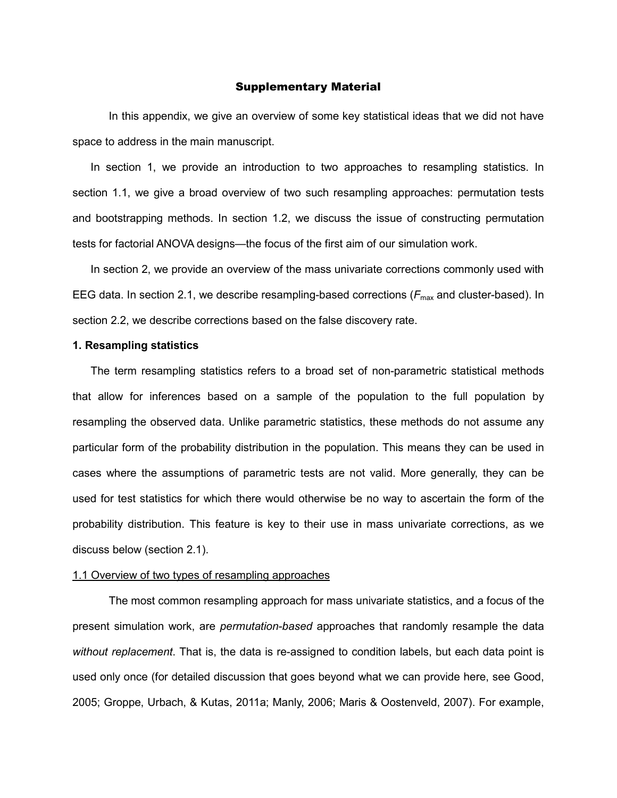### Supplementary Material

In this appendix, we give an overview of some key statistical ideas that we did not have space to address in the main manuscript.

In section 1, we provide an introduction to two approaches to resampling statistics. In section 1.1, we give a broad overview of two such resampling approaches: permutation tests and bootstrapping methods. In section 1.2, we discuss the issue of constructing permutation tests for factorial ANOVA designs—the focus of the first aim of our simulation work.

In section 2, we provide an overview of the mass univariate corrections commonly used with EEG data. In section 2.1, we describe resampling-based corrections (F<sub>max</sub> and cluster-based). In section 2.2, we describe corrections based on the false discovery rate.

### **1. Resampling statistics**

The term resampling statistics refers to a broad set of non-parametric statistical methods that allow for inferences based on a sample of the population to the full population by resampling the observed data. Unlike parametric statistics, these methods do not assume any particular form of the probability distribution in the population. This means they can be used in cases where the assumptions of parametric tests are not valid. More generally, they can be used for test statistics for which there would otherwise be no way to ascertain the form of the probability distribution. This feature is key to their use in mass univariate corrections, as we discuss below (section 2.1).

### 1.1 Overview of two types of resampling approaches

The most common resampling approach for mass univariate statistics, and a focus of the present simulation work, are *permutation-based* approaches that randomly resample the data *without replacement*. That is, the data is re-assigned to condition labels, but each data point is used only once (for detailed discussion that goes beyond what we can provide here, see Good, 2005; Groppe, Urbach, & Kutas, 2011a; Manly, 2006; Maris & Oostenveld, 2007). For example,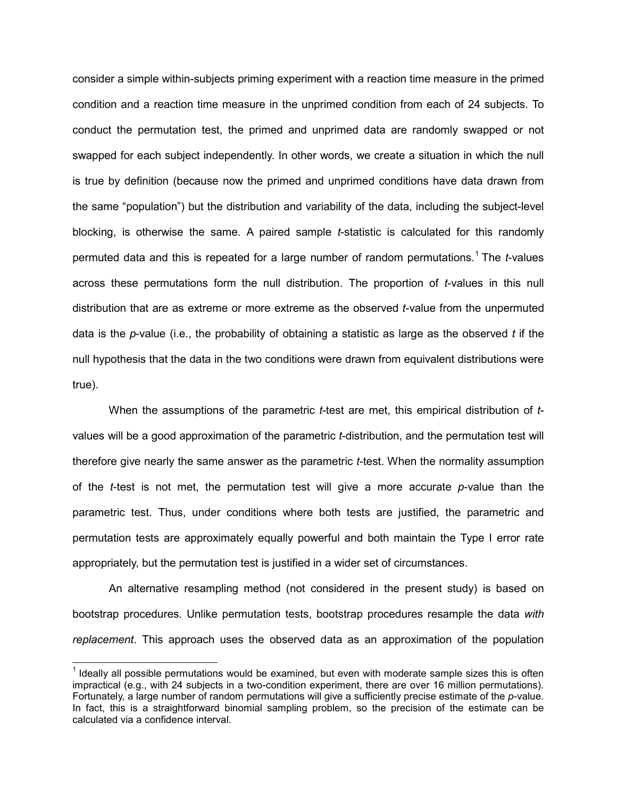consider a simple within-subjects priming experiment with a reaction time measure in the primed condition and a reaction time measure in the unprimed condition from each of 24 subjects. To conduct the permutation test, the primed and unprimed data are randomly swapped or not swapped for each subject independently. In other words, we create a situation in which the null is true by definition (because now the primed and unprimed conditions have data drawn from the same "population") but the distribution and variability of the data, including the subject-level blocking, is otherwise the same. A paired sample *t*-statistic is calculated for this randomly permuted data and this is repeated for a large number of random permutations.[1](#page-1-0) The *t*-values across these permutations form the null distribution. The proportion of *t*-values in this null distribution that are as extreme or more extreme as the observed *t*-value from the unpermuted data is the *p*-value (i.e., the probability of obtaining a statistic as large as the observed *t* if the null hypothesis that the data in the two conditions were drawn from equivalent distributions were true).

When the assumptions of the parametric *t*-test are met, this empirical distribution of *t*values will be a good approximation of the parametric *t*-distribution, and the permutation test will therefore give nearly the same answer as the parametric *t*-test. When the normality assumption of the *t*-test is not met, the permutation test will give a more accurate *p*-value than the parametric test. Thus, under conditions where both tests are justified, the parametric and permutation tests are approximately equally powerful and both maintain the Type I error rate appropriately, but the permutation test is justified in a wider set of circumstances.

An alternative resampling method (not considered in the present study) is based on bootstrap procedures. Unlike permutation tests, bootstrap procedures resample the data *with replacement*. This approach uses the observed data as an approximation of the population

<span id="page-1-0"></span> $<sup>1</sup>$  Ideally all possible permutations would be examined, but even with moderate sample sizes this is often</sup> impractical (e.g., with 24 subjects in a two-condition experiment, there are over 16 million permutations). Fortunately, a large number of random permutations will give a sufficiently precise estimate of the *p*-value. In fact, this is a straightforward binomial sampling problem, so the precision of the estimate can be calculated via a confidence interval.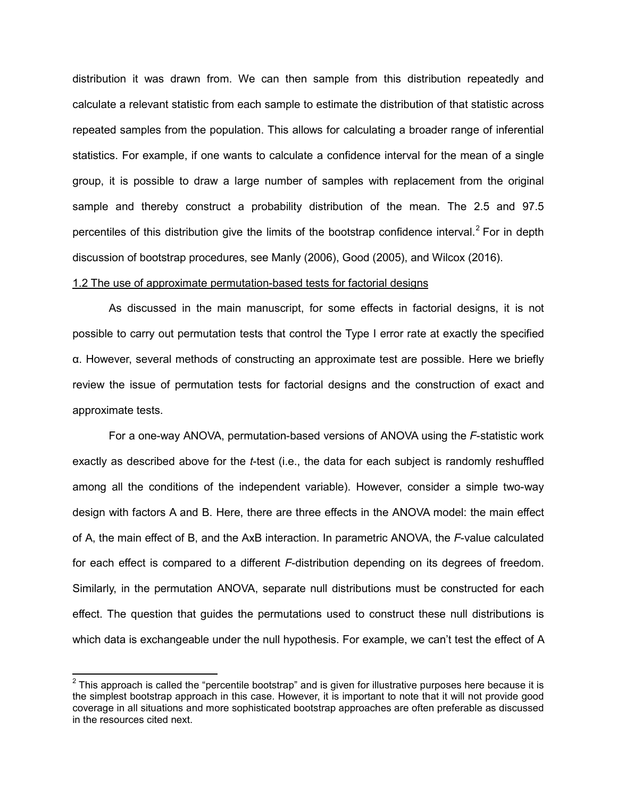distribution it was drawn from. We can then sample from this distribution repeatedly and calculate a relevant statistic from each sample to estimate the distribution of that statistic across repeated samples from the population. This allows for calculating a broader range of inferential statistics. For example, if one wants to calculate a confidence interval for the mean of a single group, it is possible to draw a large number of samples with replacement from the original sample and thereby construct a probability distribution of the mean. The 2.5 and 97.5 percentiles of this distribution give the limits of the bootstrap confidence interval.<sup>[2](#page-2-0)</sup> For in depth discussion of bootstrap procedures, see Manly (2006), Good (2005), and Wilcox (2016).

# 1.2 The use of approximate permutation-based tests for factorial designs

As discussed in the main manuscript, for some effects in factorial designs, it is not possible to carry out permutation tests that control the Type I error rate at exactly the specified α. However, several methods of constructing an approximate test are possible. Here we briefly review the issue of permutation tests for factorial designs and the construction of exact and approximate tests.

For a one-way ANOVA, permutation-based versions of ANOVA using the *F*-statistic work exactly as described above for the *t*-test (i.e., the data for each subject is randomly reshuffled among all the conditions of the independent variable). However, consider a simple two-way design with factors A and B. Here, there are three effects in the ANOVA model: the main effect of A, the main effect of B, and the AxB interaction. In parametric ANOVA, the *F*-value calculated for each effect is compared to a different *F*-distribution depending on its degrees of freedom. Similarly, in the permutation ANOVA, separate null distributions must be constructed for each effect. The question that guides the permutations used to construct these null distributions is which data is exchangeable under the null hypothesis. For example, we can't test the effect of A

<span id="page-2-0"></span> $2$  This approach is called the "percentile bootstrap" and is given for illustrative purposes here because it is the simplest bootstrap approach in this case. However, it is important to note that it will not provide good coverage in all situations and more sophisticated bootstrap approaches are often preferable as discussed in the resources cited next.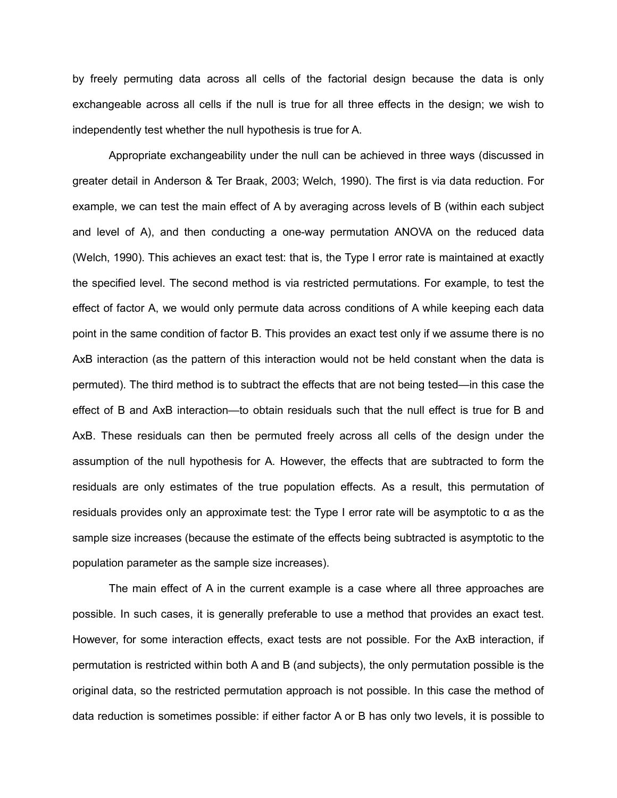by freely permuting data across all cells of the factorial design because the data is only exchangeable across all cells if the null is true for all three effects in the design; we wish to independently test whether the null hypothesis is true for A.

Appropriate exchangeability under the null can be achieved in three ways (discussed in greater detail in Anderson & Ter Braak, 2003; Welch, 1990). The first is via data reduction. For example, we can test the main effect of A by averaging across levels of B (within each subject and level of A), and then conducting a one-way permutation ANOVA on the reduced data (Welch, 1990). This achieves an exact test: that is, the Type I error rate is maintained at exactly the specified level. The second method is via restricted permutations. For example, to test the effect of factor A, we would only permute data across conditions of A while keeping each data point in the same condition of factor B. This provides an exact test only if we assume there is no AxB interaction (as the pattern of this interaction would not be held constant when the data is permuted). The third method is to subtract the effects that are not being tested—in this case the effect of B and AxB interaction—to obtain residuals such that the null effect is true for B and AxB. These residuals can then be permuted freely across all cells of the design under the assumption of the null hypothesis for A. However, the effects that are subtracted to form the residuals are only estimates of the true population effects. As a result, this permutation of residuals provides only an approximate test: the Type I error rate will be asymptotic to α as the sample size increases (because the estimate of the effects being subtracted is asymptotic to the population parameter as the sample size increases).

The main effect of A in the current example is a case where all three approaches are possible. In such cases, it is generally preferable to use a method that provides an exact test. However, for some interaction effects, exact tests are not possible. For the AxB interaction, if permutation is restricted within both A and B (and subjects), the only permutation possible is the original data, so the restricted permutation approach is not possible. In this case the method of data reduction is sometimes possible: if either factor A or B has only two levels, it is possible to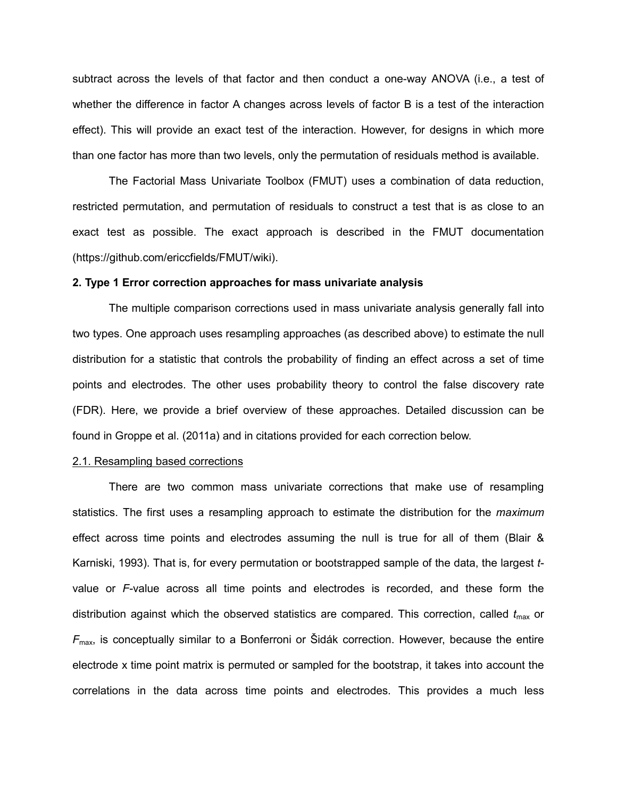subtract across the levels of that factor and then conduct a one-way ANOVA (i.e., a test of whether the difference in factor A changes across levels of factor B is a test of the interaction effect). This will provide an exact test of the interaction. However, for designs in which more than one factor has more than two levels, only the permutation of residuals method is available.

The Factorial Mass Univariate Toolbox (FMUT) uses a combination of data reduction, restricted permutation, and permutation of residuals to construct a test that is as close to an exact test as possible. The exact approach is described in the FMUT documentation (https://github.com/ericcfields/FMUT/wiki).

### **2. Type 1 Error correction approaches for mass univariate analysis**

The multiple comparison corrections used in mass univariate analysis generally fall into two types. One approach uses resampling approaches (as described above) to estimate the null distribution for a statistic that controls the probability of finding an effect across a set of time points and electrodes. The other uses probability theory to control the false discovery rate (FDR). Here, we provide a brief overview of these approaches. Detailed discussion can be found in Groppe et al. (2011a) and in citations provided for each correction below.

# 2.1. Resampling based corrections

There are two common mass univariate corrections that make use of resampling statistics. The first uses a resampling approach to estimate the distribution for the *maximum* effect across time points and electrodes assuming the null is true for all of them (Blair & Karniski, 1993). That is, for every permutation or bootstrapped sample of the data, the largest *t*value or *F*-value across all time points and electrodes is recorded, and these form the distribution against which the observed statistics are compared. This correction, called  $t_{\text{max}}$  or  $F_{\text{max}}$ , is conceptually similar to a Bonferroni or Šidák correction. However, because the entire electrode x time point matrix is permuted or sampled for the bootstrap, it takes into account the correlations in the data across time points and electrodes. This provides a much less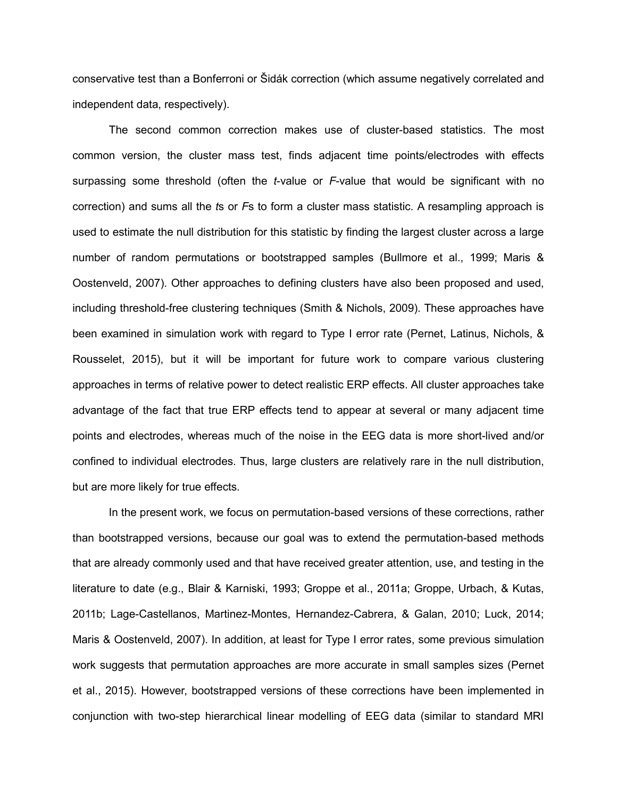conservative test than a Bonferroni or Šidák correction (which assume negatively correlated and independent data, respectively).

The second common correction makes use of cluster-based statistics. The most common version, the cluster mass test, finds adjacent time points/electrodes with effects surpassing some threshold (often the *t*-value or *F*-value that would be significant with no correction) and sums all the *t*s or *F*s to form a cluster mass statistic. A resampling approach is used to estimate the null distribution for this statistic by finding the largest cluster across a large number of random permutations or bootstrapped samples (Bullmore et al., 1999; Maris & Oostenveld, 2007). Other approaches to defining clusters have also been proposed and used, including threshold-free clustering techniques (Smith & Nichols, 2009). These approaches have been examined in simulation work with regard to Type I error rate (Pernet, Latinus, Nichols, & Rousselet, 2015), but it will be important for future work to compare various clustering approaches in terms of relative power to detect realistic ERP effects. All cluster approaches take advantage of the fact that true ERP effects tend to appear at several or many adjacent time points and electrodes, whereas much of the noise in the EEG data is more short-lived and/or confined to individual electrodes. Thus, large clusters are relatively rare in the null distribution, but are more likely for true effects.

In the present work, we focus on permutation-based versions of these corrections, rather than bootstrapped versions, because our goal was to extend the permutation-based methods that are already commonly used and that have received greater attention, use, and testing in the literature to date (e.g., Blair & Karniski, 1993; Groppe et al., 2011a; Groppe, Urbach, & Kutas, 2011b; Lage-Castellanos, Martinez-Montes, Hernandez-Cabrera, & Galan, 2010; Luck, 2014; Maris & Oostenveld, 2007). In addition, at least for Type I error rates, some previous simulation work suggests that permutation approaches are more accurate in small samples sizes (Pernet et al., 2015). However, bootstrapped versions of these corrections have been implemented in conjunction with two-step hierarchical linear modelling of EEG data (similar to standard MRI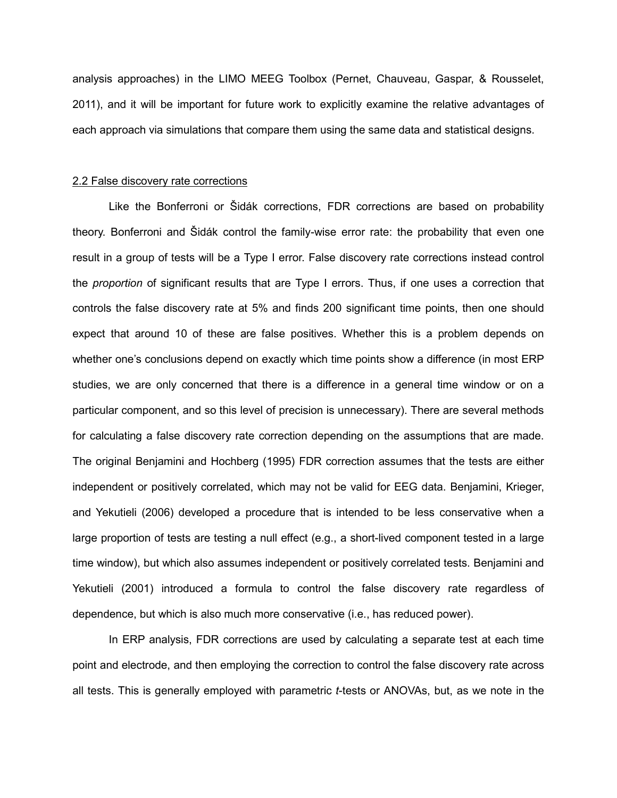analysis approaches) in the LIMO MEEG Toolbox (Pernet, Chauveau, Gaspar, & Rousselet, 2011), and it will be important for future work to explicitly examine the relative advantages of each approach via simulations that compare them using the same data and statistical designs.

### 2.2 False discovery rate corrections

Like the Bonferroni or Šidák corrections, FDR corrections are based on probability theory. Bonferroni and Šidák control the family-wise error rate: the probability that even one result in a group of tests will be a Type I error. False discovery rate corrections instead control the *proportion* of significant results that are Type I errors. Thus, if one uses a correction that controls the false discovery rate at 5% and finds 200 significant time points, then one should expect that around 10 of these are false positives. Whether this is a problem depends on whether one's conclusions depend on exactly which time points show a difference (in most ERP studies, we are only concerned that there is a difference in a general time window or on a particular component, and so this level of precision is unnecessary). There are several methods for calculating a false discovery rate correction depending on the assumptions that are made. The original Benjamini and Hochberg (1995) FDR correction assumes that the tests are either independent or positively correlated, which may not be valid for EEG data. Benjamini, Krieger, and Yekutieli (2006) developed a procedure that is intended to be less conservative when a large proportion of tests are testing a null effect (e.g., a short-lived component tested in a large time window), but which also assumes independent or positively correlated tests. Benjamini and Yekutieli (2001) introduced a formula to control the false discovery rate regardless of dependence, but which is also much more conservative (i.e., has reduced power).

In ERP analysis, FDR corrections are used by calculating a separate test at each time point and electrode, and then employing the correction to control the false discovery rate across all tests. This is generally employed with parametric *t*-tests or ANOVAs, but, as we note in the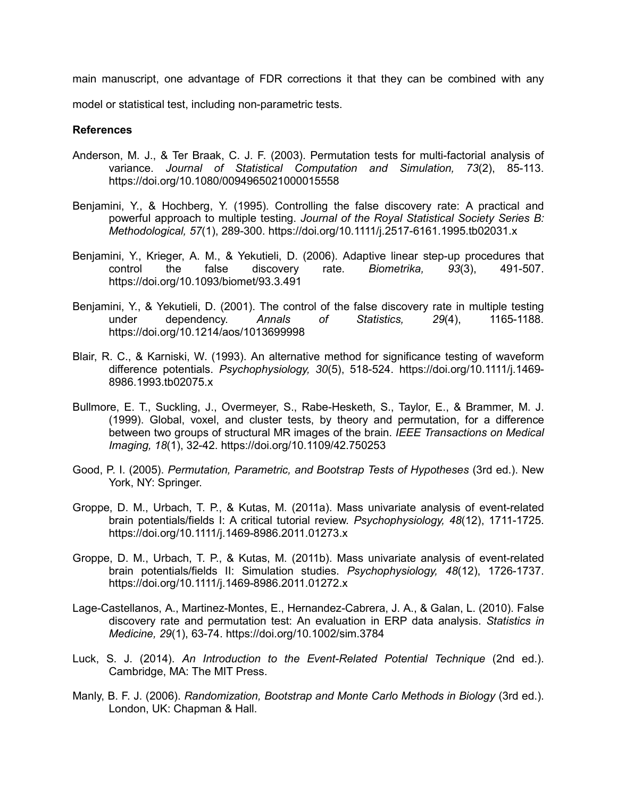main manuscript, one advantage of FDR corrections it that they can be combined with any

model or statistical test, including non-parametric tests.

# **References**

- Anderson, M. J., & Ter Braak, C. J. F. (2003). Permutation tests for multi-factorial analysis of variance. *Journal of Statistical Computation and Simulation, 73*(2), 85-113. https://doi.org/10.1080/0094965021000015558
- Benjamini, Y., & Hochberg, Y. (1995). Controlling the false discovery rate: A practical and powerful approach to multiple testing. *Journal of the Royal Statistical Society Series B: Methodological, 57*(1), 289-300. https://doi.org/10.1111/j.2517-6161.1995.tb02031.x
- Benjamini, Y., Krieger, A. M., & Yekutieli, D. (2006). Adaptive linear step-up procedures that control the false discovery rate. *Biometrika, 93*(3), 491-507. https://doi.org/10.1093/biomet/93.3.491
- Benjamini, Y., & Yekutieli, D. (2001). The control of the false discovery rate in multiple testing under dependency. *Annals of Statistics, 29*(4), 1165-1188. https://doi.org/10.1214/aos/1013699998
- Blair, R. C., & Karniski, W. (1993). An alternative method for significance testing of waveform difference potentials. *Psychophysiology, 30*(5), 518-524. https://doi.org/10.1111/j.1469- 8986.1993.tb02075.x
- Bullmore, E. T., Suckling, J., Overmeyer, S., Rabe-Hesketh, S., Taylor, E., & Brammer, M. J. (1999). Global, voxel, and cluster tests, by theory and permutation, for a difference between two groups of structural MR images of the brain. *IEEE Transactions on Medical Imaging, 18*(1), 32-42. https://doi.org/10.1109/42.750253
- Good, P. I. (2005). *Permutation, Parametric, and Bootstrap Tests of Hypotheses* (3rd ed.). New York, NY: Springer.
- Groppe, D. M., Urbach, T. P., & Kutas, M. (2011a). Mass univariate analysis of event-related brain potentials/fields I: A critical tutorial review. *Psychophysiology, 48*(12), 1711-1725. https://doi.org/10.1111/j.1469-8986.2011.01273.x
- Groppe, D. M., Urbach, T. P., & Kutas, M. (2011b). Mass univariate analysis of event-related brain potentials/fields II: Simulation studies. *Psychophysiology, 48*(12), 1726-1737. https://doi.org/10.1111/j.1469-8986.2011.01272.x
- Lage-Castellanos, A., Martinez-Montes, E., Hernandez-Cabrera, J. A., & Galan, L. (2010). False discovery rate and permutation test: An evaluation in ERP data analysis. *Statistics in Medicine, 29*(1), 63-74. https://doi.org/10.1002/sim.3784
- Luck, S. J. (2014). *An Introduction to the Event-Related Potential Technique* (2nd ed.). Cambridge, MA: The MIT Press.
- Manly, B. F. J. (2006). *Randomization, Bootstrap and Monte Carlo Methods in Biology* (3rd ed.). London, UK: Chapman & Hall.